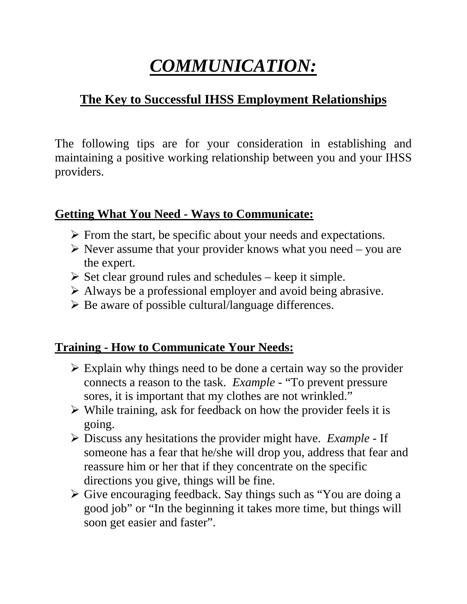# *COMMUNICATION:*

## **The Key to Successful IHSS Employment Relationships**

The following tips are for your consideration in establishing and maintaining a positive working relationship between you and your IHSS providers.

#### **Getting What You Need - Ways to Communicate:**

- $\triangleright$  From the start, be specific about your needs and expectations.
- $\triangleright$  Never assume that your provider knows what you need you are the expert.
- $\triangleright$  Set clear ground rules and schedules keep it simple.
- $\triangleright$  Always be a professional employer and avoid being abrasive.
- $\triangleright$  Be aware of possible cultural/language differences.

#### **Training - How to Communicate Your Needs:**

- $\triangleright$  Explain why things need to be done a certain way so the provider connects a reason to the task. *Example* - "To prevent pressure sores, it is important that my clothes are not wrinkled."
- $\triangleright$  While training, ask for feedback on how the provider feels it is going.
- ¾ Discuss any hesitations the provider might have. *Example* If someone has a fear that he/she will drop you, address that fear and reassure him or her that if they concentrate on the specific directions you give, things will be fine.
- ¾ Give encouraging feedback. Say things such as "You are doing a good job" or "In the beginning it takes more time, but things will soon get easier and faster".